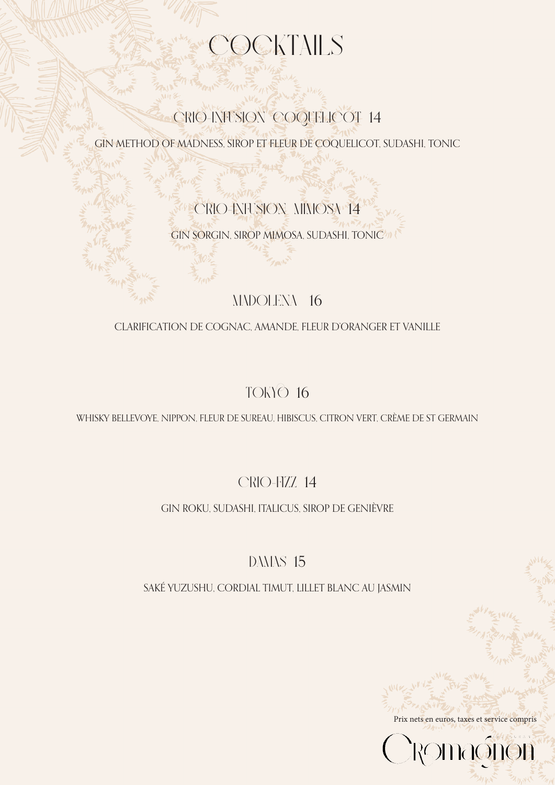## **OCKTAILS**

### CRIO-INFUSION COQUELICOT 14

GIN METHOD OF MADNESS, SIROP ET FLEUR DE COQUELICOT, SUDASHI, TONIC

### CRIO-INFUSION MIMOSA 14

GIN SORGIN, SIROP MIMOSA, SUDASHI, TONIC

#### MADOLENA 16

#### CLARIFICATION DE COGNAC, AMANDE, FLEUR D'ORANGER ET VANILLE

#### TOKYO16

WHISKY BELLEVOYE, NIPPON, FLEUR DE SUREAU, HIBISCUS, CITRON VERT, CRÈME DE ST GERMAIN

#### CRIO-FIZZ14

#### GIN ROKU, SUDASHI, ITALICUS, SIROP DE GENIÈVRE

#### DAMAS 15

SAKÉ YUZUSHU, CORDIAL TIMUT, LILLET BLANC AU JASMIN

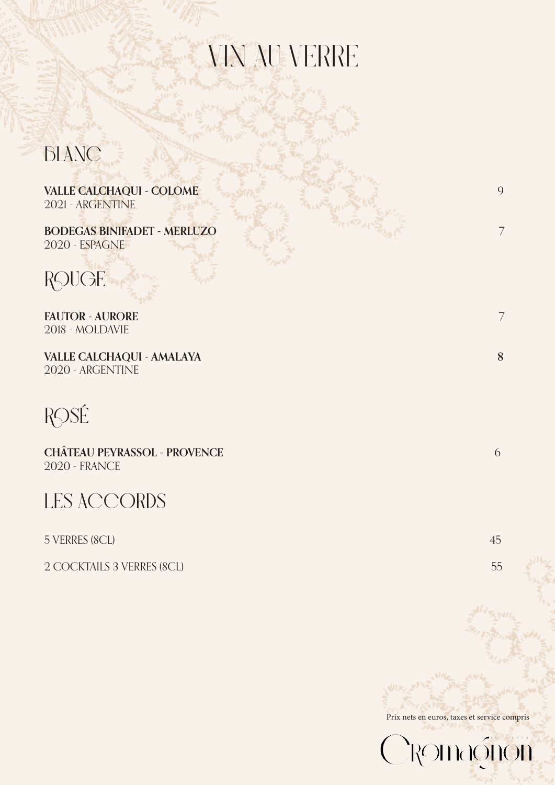# VIN AU VERRE

**BLANC**

**VALLE CALCHAQUI - COLOME** 9 2021 - ARGENTINE

**BODEGAS BINIFADET - MERLUZO** 7 2020 - ESPAGNE

**ROUGE**

**FAUTOR - AURORE** 7 2018 - MOLDAVIE

**VALLE CALCHAQUI - AMALAYA 8** 2020 - ARGENTINE

**ROSÉ**

**CHÂTEAU PEYRASSOL - PROVENCE** 6 2020 - FRANCE



5 VERRES (8CL) 45

2 COCKTAILS 3 VERRES (8CL) 55

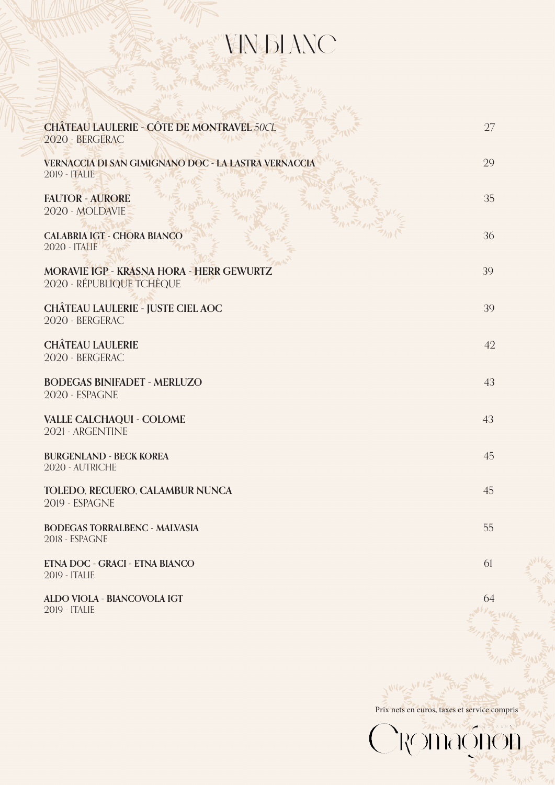### VIN BLANC

| <b>CHÂTEAU LAULERIE - CÔTE DE MONTRAVEL 50CL</b><br>2020 - BERGERAC          | 27 |
|------------------------------------------------------------------------------|----|
| VERNACCIA DI SAN GIMIGNANO DOC - LA LASTRA VERNACCIA<br>2019 - <b>ITALIE</b> | 29 |
| <b>FAUTOR - AURORE</b><br>2020 - MOLDAVIE                                    | 35 |
| <b>CALABRIA IGT - CHORA BIANCO</b><br><b>2020 - ITALIE</b>                   | 36 |
| MORAVIE IGP - KRASNA HORA - HERR GEWURTZ<br>2020 - RÉPUBLIQUE TCHÈQUE        | 39 |
| <b>CHÂTEAU LAULERIE - JUSTE CIEL AOC</b><br>2020 - BERGERAC                  | 39 |
| <b>CHÂTEAU LAULERIE</b><br>2020 - BERGERAC                                   | 42 |
| <b>BODEGAS BINIFADET - MERLUZO</b><br>2020 - ESPAGNE                         | 43 |
| <b>VALLE CALCHAQUI - COLOME</b><br>2021 - ARGENTINE                          | 43 |
| <b>BURGENLAND - BECK KOREA</b><br>2020 - AUTRICHE                            | 45 |
| TOLEDO, RECUERO, CALAMBUR NUNCA<br>2019 - ESPAGNE                            | 45 |
| <b>BODEGAS TORRALBENC - MALVASIA</b><br>2018 - ESPAGNE                       | 55 |
| ETNA DOC - GRACI - ETNA BIANCO<br>2019 - ITALIE                              | 61 |
|                                                                              |    |

**ALDO VIOLA - BIANCOVOLA IGT** 64 2019 - ITALIE

Prix nets en euros, taxes et service compris<br>
CROMOODOO